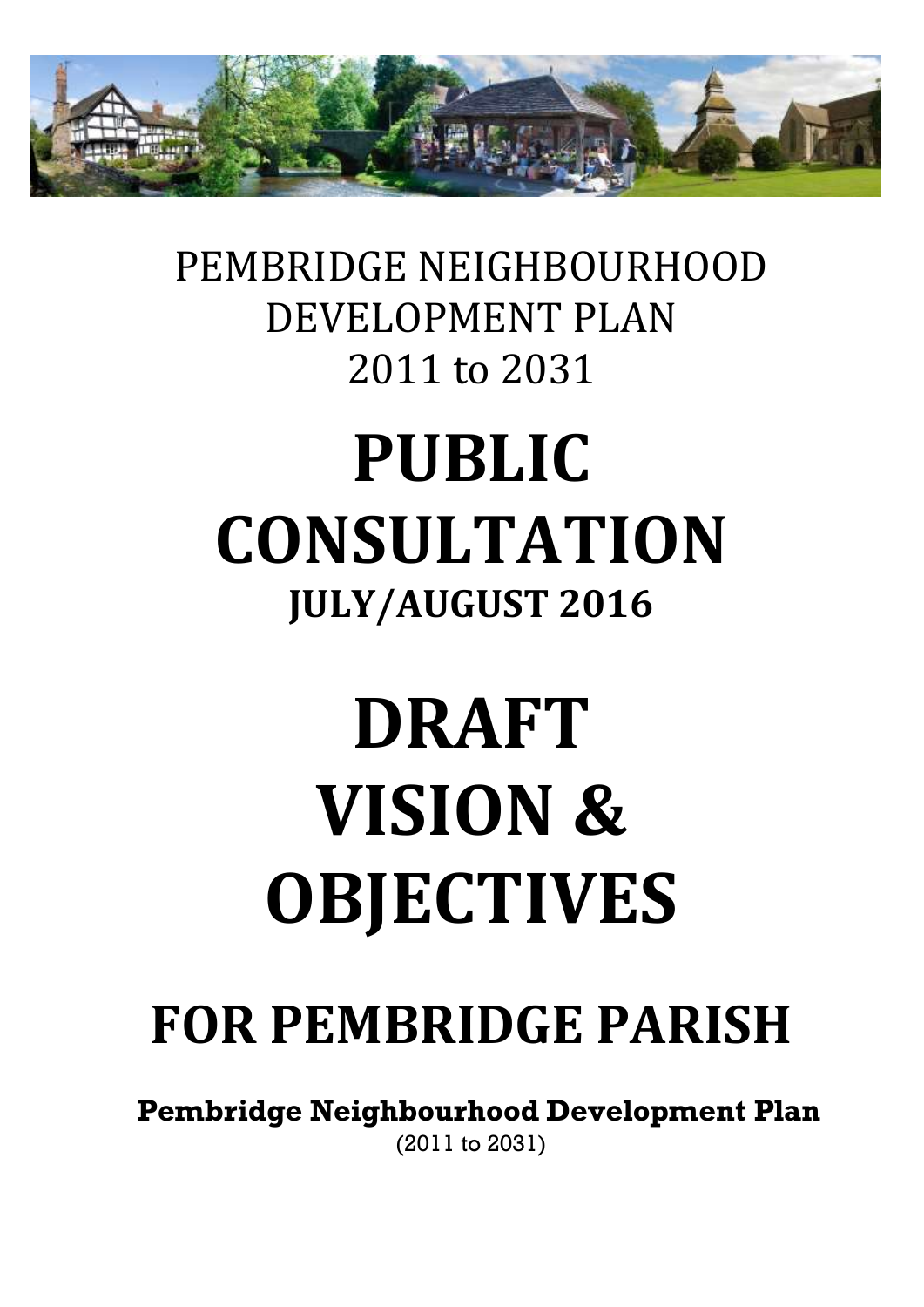

## PEMBRIDGE NEIGHBOURHOOD DEVELOPMENT PLAN 2011 to 2031

## **PUBLIC CONSULTATION JULY/AUGUST 2016**

# **DRAFT VISION & OBJECTIVES**

## **FOR PEMBRIDGE PARISH**

**Pembridge Neighbourhood Development Plan** (2011 to 2031)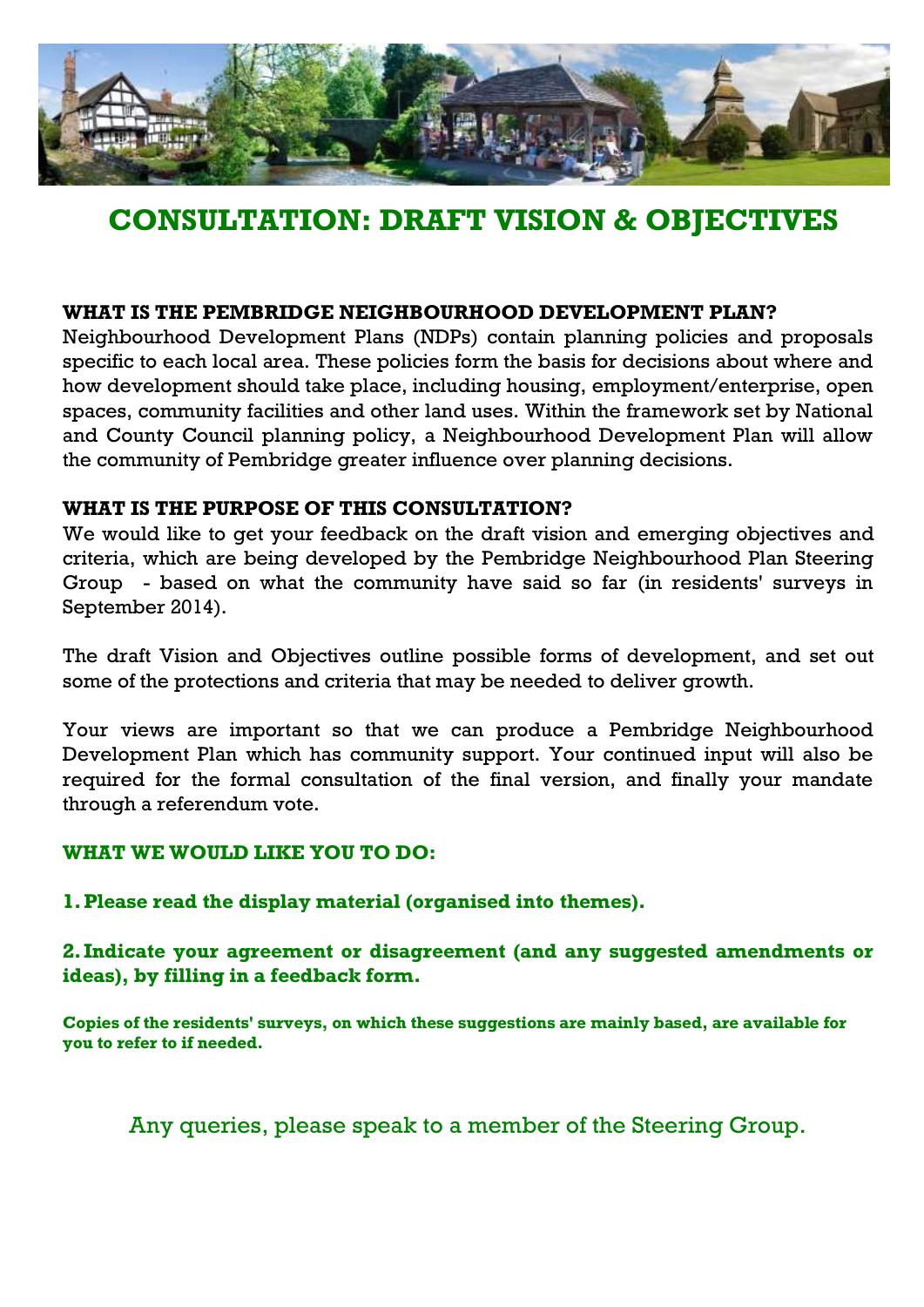

## **CONSULTATION: DRAFT VISION & OBJECTIVES**

#### **WHAT IS THE PEMBRIDGE NEIGHBOURHOOD DEVELOPMENT PLAN?**

Neighbourhood Development Plans (NDPs) contain planning policies and proposals specific to each local area. These policies form the basis for decisions about where and how development should take place, including housing, employment/enterprise, open spaces, community facilities and other land uses. Within the framework set by National and County Council planning policy, a Neighbourhood Development Plan will allow the community of Pembridge greater influence over planning decisions.

#### **WHAT IS THE PURPOSE OF THIS CONSULTATION?**

We would like to get your feedback on the draft vision and emerging objectives and criteria, which are being developed by the Pembridge Neighbourhood Plan Steering Group - based on what the community have said so far (in residents' surveys in September 2014).

The draft Vision and Objectives outline possible forms of development, and set out some of the protections and criteria that may be needed to deliver growth.

Your views are important so that we can produce a Pembridge Neighbourhood Development Plan which has community support. Your continued input will also be required for the formal consultation of the final version, and finally your mandate through a referendum vote.

#### **WHAT WE WOULD LIKE YOU TO DO:**

**1.Please read the display material (organised into themes).**

**2. Indicate your agreement or disagreement (and any suggested amendments or ideas), by filling in a feedback form.**

**Copies of the residents' surveys, on which these suggestions are mainly based, are available for you to refer to if needed.**

Any queries, please speak to a member of the Steering Group.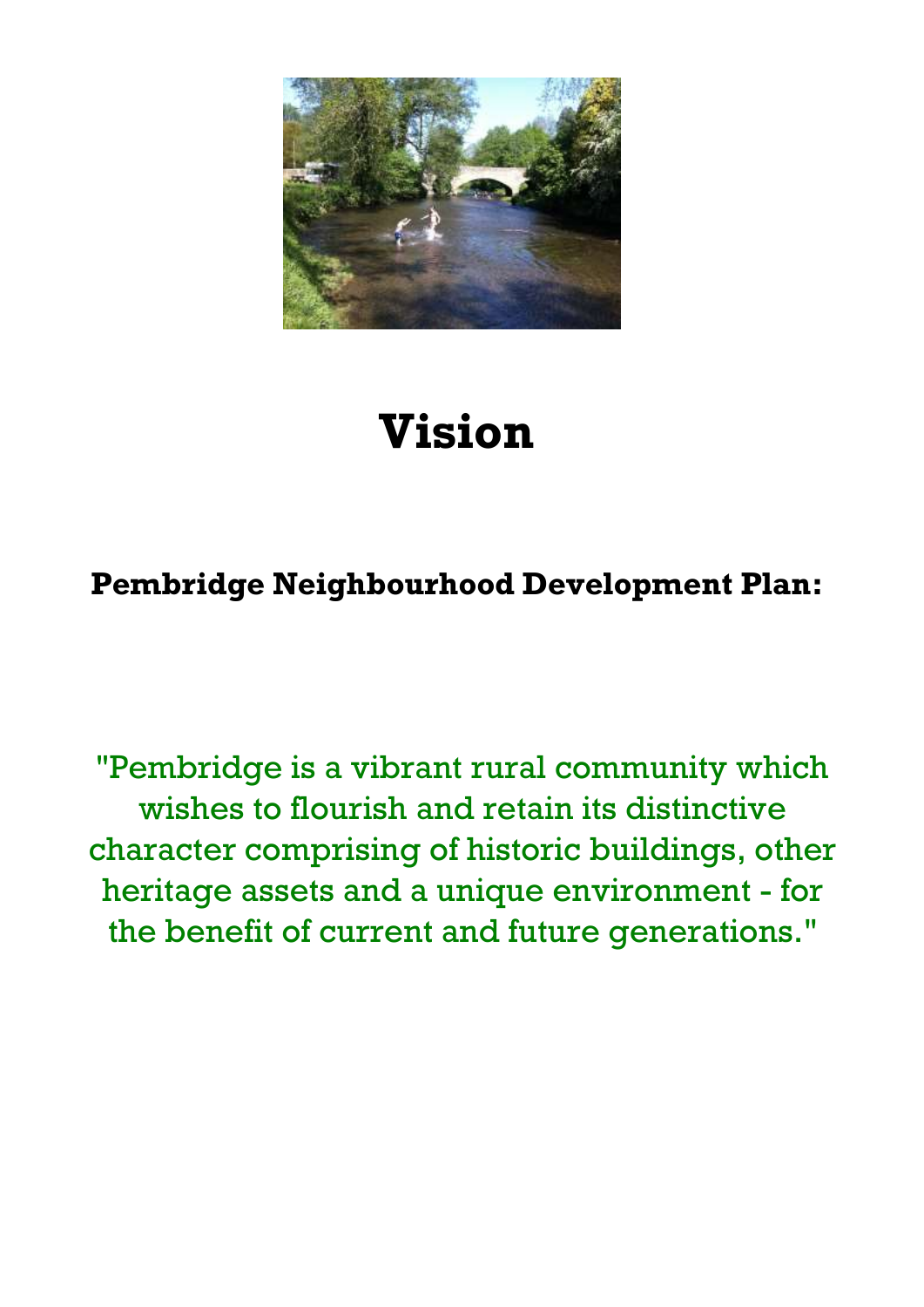

## **Vision**

## **Pembridge Neighbourhood Development Plan:**

"Pembridge is a vibrant rural community which wishes to flourish and retain its distinctive character comprising of historic buildings, other heritage assets and a unique environment - for the benefit of current and future generations."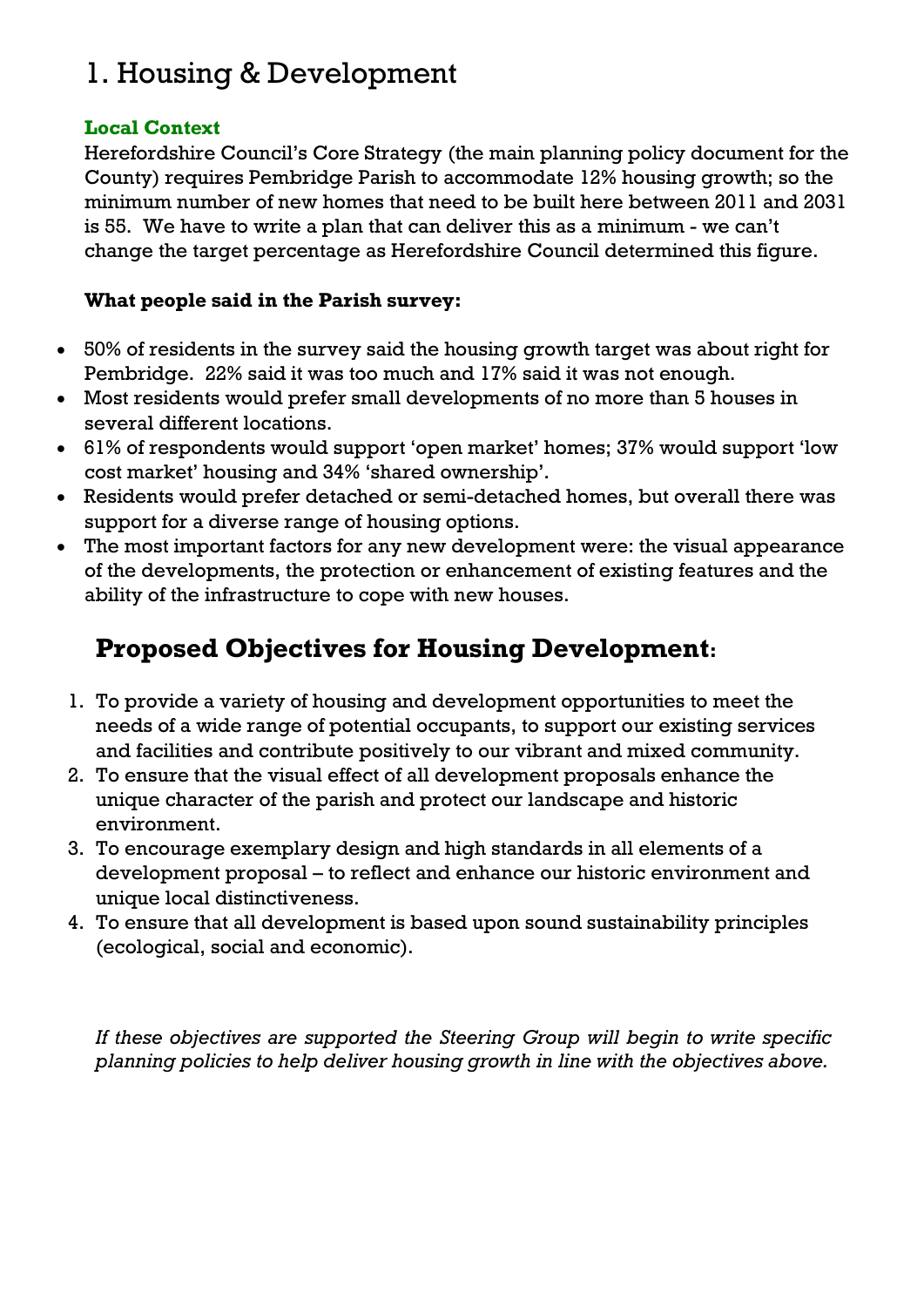## 1. Housing & Development

#### **Local Context**

Herefordshire Council's Core Strategy (the main planning policy document for the County) requires Pembridge Parish to accommodate 12% housing growth; so the minimum number of new homes that need to be built here between 2011 and 2031 is 55. We have to write a plan that can deliver this as a minimum - we can't change the target percentage as Herefordshire Council determined this figure.

#### **What people said in the Parish survey:**

- 50% of residents in the survey said the housing growth target was about right for Pembridge. 22% said it was too much and 17% said it was not enough.
- Most residents would prefer small developments of no more than 5 houses in several different locations.
- 61% of respondents would support 'open market' homes; 37% would support 'low cost market' housing and 34% 'shared ownership'.
- Residents would prefer detached or semi-detached homes, but overall there was support for a diverse range of housing options.
- The most important factors for any new development were: the visual appearance of the developments, the protection or enhancement of existing features and the ability of the infrastructure to cope with new houses.

## **Proposed Objectives for Housing Development:**

- 1. To provide a variety of housing and development opportunities to meet the needs of a wide range of potential occupants, to support our existing services and facilities and contribute positively to our vibrant and mixed community.
- 2. To ensure that the visual effect of all development proposals enhance the unique character of the parish and protect our landscape and historic environment.
- 3. To encourage exemplary design and high standards in all elements of a development proposal – to reflect and enhance our historic environment and unique local distinctiveness.
- 4. To ensure that all development is based upon sound sustainability principles (ecological, social and economic).

*If these objectives are supported the Steering Group will begin to write specific planning policies to help deliver housing growth in line with the objectives above.*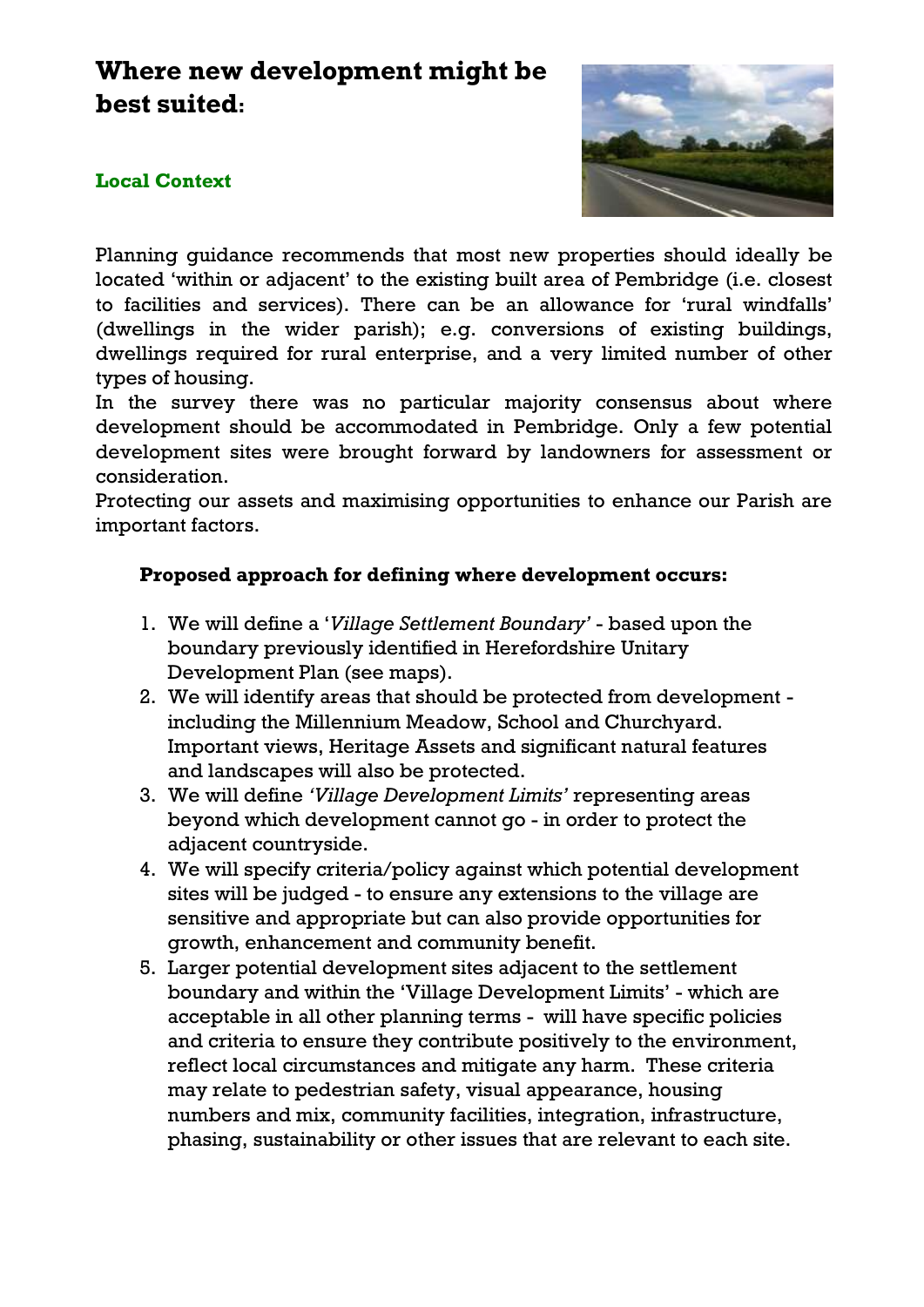### **Where new development might be best suited:**

#### **Local Context**



Planning guidance recommends that most new properties should ideally be located 'within or adjacent' to the existing built area of Pembridge (i.e. closest to facilities and services). There can be an allowance for 'rural windfalls' (dwellings in the wider parish); e.g. conversions of existing buildings, dwellings required for rural enterprise, and a very limited number of other types of housing.

In the survey there was no particular majority consensus about where development should be accommodated in Pembridge. Only a few potential development sites were brought forward by landowners for assessment or consideration.

Protecting our assets and maximising opportunities to enhance our Parish are important factors.

#### **Proposed approach for defining where development occurs:**

- 1. We will define a '*Village Settlement Boundary'* based upon the boundary previously identified in Herefordshire Unitary Development Plan (see maps).
- 2. We will identify areas that should be protected from development including the Millennium Meadow, School and Churchyard. Important views, Heritage Assets and significant natural features and landscapes will also be protected.
- 3. We will define *'Village Development Limits'* representing areas beyond which development cannot go - in order to protect the adjacent countryside.
- 4. We will specify criteria/policy against which potential development sites will be judged - to ensure any extensions to the village are sensitive and appropriate but can also provide opportunities for growth, enhancement and community benefit.
- 5. Larger potential development sites adjacent to the settlement boundary and within the 'Village Development Limits' - which are acceptable in all other planning terms - will have specific policies and criteria to ensure they contribute positively to the environment, reflect local circumstances and mitigate any harm. These criteria may relate to pedestrian safety, visual appearance, housing numbers and mix, community facilities, integration, infrastructure, phasing, sustainability or other issues that are relevant to each site.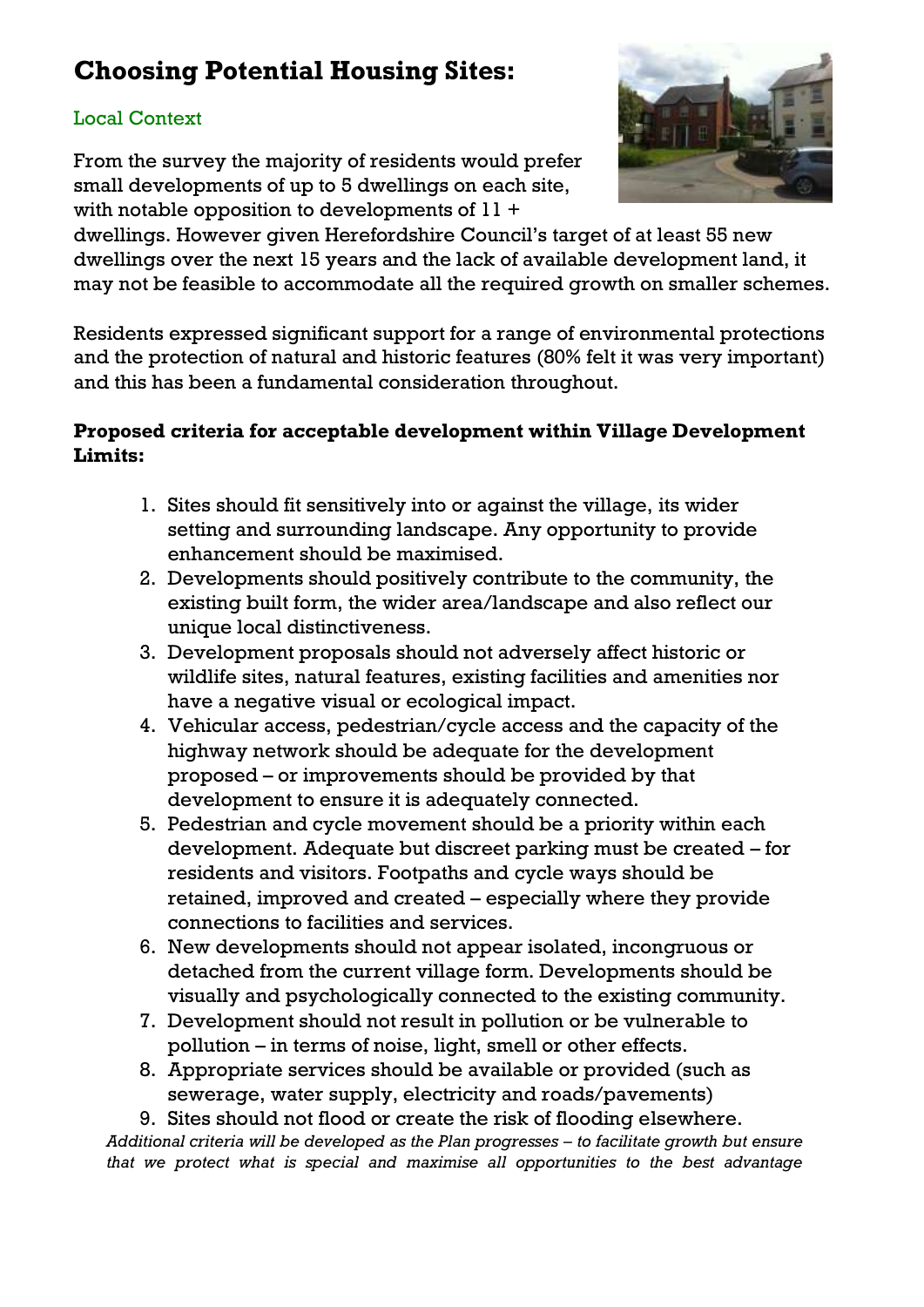## **Choosing Potential Housing Sites:**

#### Local Context

From the survey the majority of residents would prefer small developments of up to 5 dwellings on each site, with notable opposition to developments of 11 +



dwellings. However given Herefordshire Council's target of at least 55 new dwellings over the next 15 years and the lack of available development land, it may not be feasible to accommodate all the required growth on smaller schemes.

Residents expressed significant support for a range of environmental protections and the protection of natural and historic features (80% felt it was very important) and this has been a fundamental consideration throughout.

#### **Proposed criteria for acceptable development within Village Development Limits:**

- 1. Sites should fit sensitively into or against the village, its wider setting and surrounding landscape. Any opportunity to provide enhancement should be maximised.
- 2. Developments should positively contribute to the community, the existing built form, the wider area/landscape and also reflect our unique local distinctiveness.
- 3. Development proposals should not adversely affect historic or wildlife sites, natural features, existing facilities and amenities nor have a negative visual or ecological impact.
- 4. Vehicular access, pedestrian/cycle access and the capacity of the highway network should be adequate for the development proposed – or improvements should be provided by that development to ensure it is adequately connected.
- 5. Pedestrian and cycle movement should be a priority within each development. Adequate but discreet parking must be created – for residents and visitors. Footpaths and cycle ways should be retained, improved and created – especially where they provide connections to facilities and services.
- 6. New developments should not appear isolated, incongruous or detached from the current village form. Developments should be visually and psychologically connected to the existing community.
- 7. Development should not result in pollution or be vulnerable to pollution – in terms of noise, light, smell or other effects.
- 8. Appropriate services should be available or provided (such as sewerage, water supply, electricity and roads/pavements)

9. Sites should not flood or create the risk of flooding elsewhere.

*Additional criteria will be developed as the Plan progresses – to facilitate growth but ensure that we protect what is special and maximise all opportunities to the best advantage*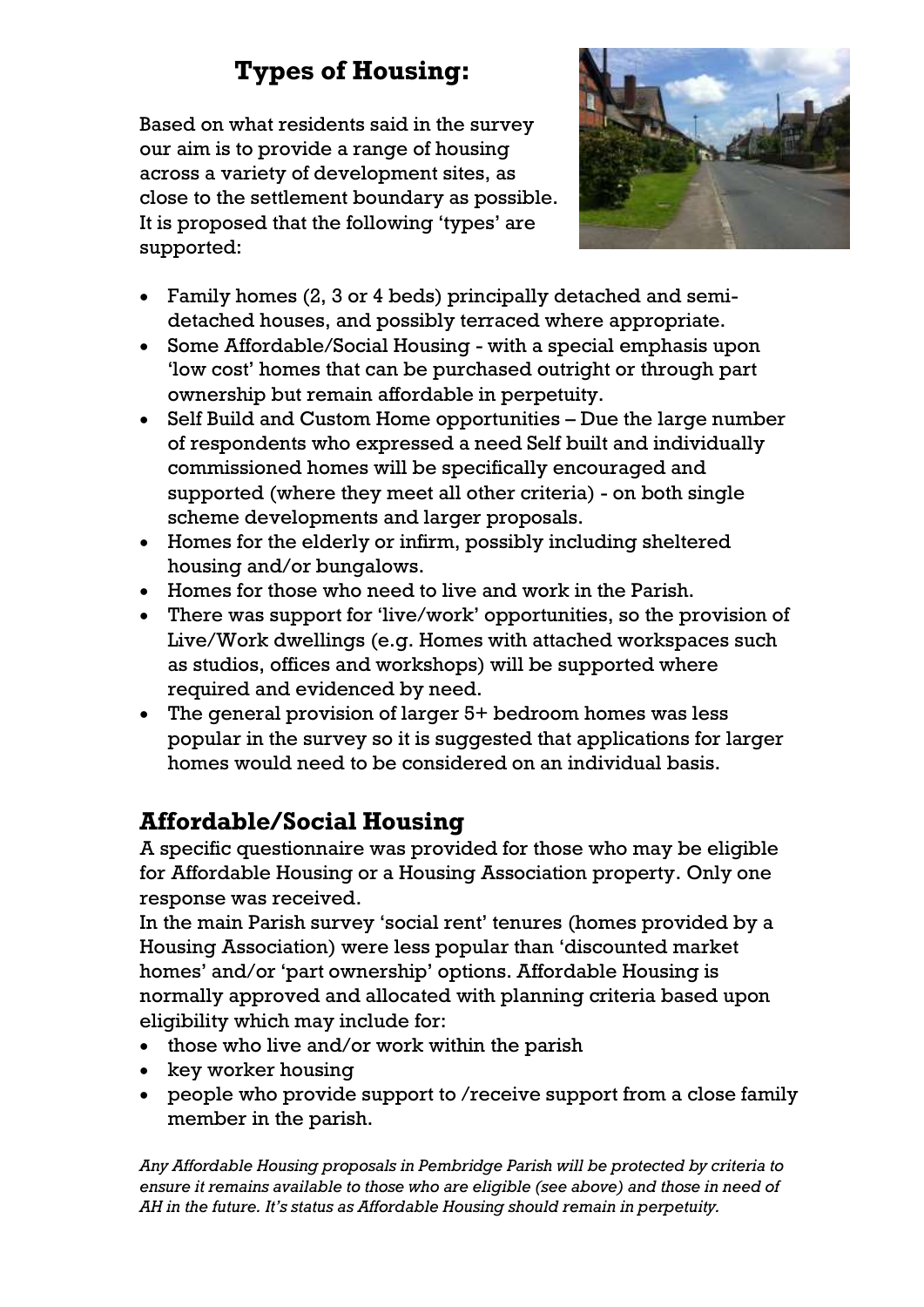## **Types of Housing:**

Based on what residents said in the survey our aim is to provide a range of housing across a variety of development sites, as close to the settlement boundary as possible. It is proposed that the following 'types' are supported:



- Family homes (2, 3 or 4 beds) principally detached and semidetached houses, and possibly terraced where appropriate.
- Some Affordable/Social Housing with a special emphasis upon 'low cost' homes that can be purchased outright or through part ownership but remain affordable in perpetuity.
- Self Build and Custom Home opportunities Due the large number of respondents who expressed a need Self built and individually commissioned homes will be specifically encouraged and supported (where they meet all other criteria) - on both single scheme developments and larger proposals.
- Homes for the elderly or infirm, possibly including sheltered housing and/or bungalows.
- Homes for those who need to live and work in the Parish.
- There was support for 'live/work' opportunities, so the provision of Live/Work dwellings (e.g. Homes with attached workspaces such as studios, offices and workshops) will be supported where required and evidenced by need.
- The general provision of larger 5+ bedroom homes was less popular in the survey so it is suggested that applications for larger homes would need to be considered on an individual basis.

## **Affordable/Social Housing**

A specific questionnaire was provided for those who may be eligible for Affordable Housing or a Housing Association property. Only one response was received.

In the main Parish survey 'social rent' tenures (homes provided by a Housing Association) were less popular than 'discounted market homes' and/or 'part ownership' options. Affordable Housing is normally approved and allocated with planning criteria based upon eligibility which may include for:

- those who live and/or work within the parish
- key worker housing
- people who provide support to /receive support from a close family member in the parish.

*Any Affordable Housing proposals in Pembridge Parish will be protected by criteria to ensure it remains available to those who are eligible (see above) and those in need of AH in the future. It's status as Affordable Housing should remain in perpetuity.*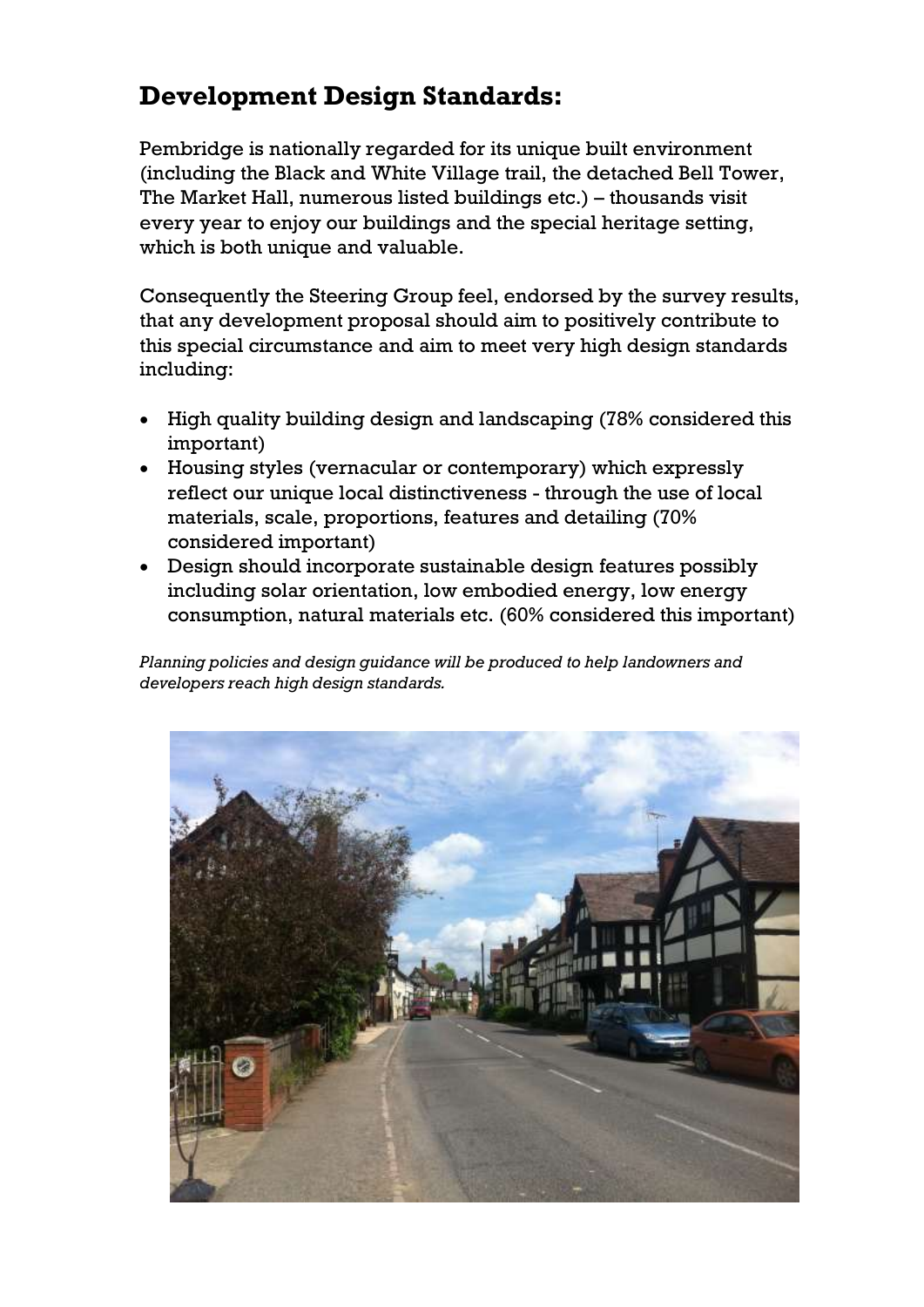### **Development Design Standards:**

Pembridge is nationally regarded for its unique built environment (including the Black and White Village trail, the detached Bell Tower, The Market Hall, numerous listed buildings etc.) – thousands visit every year to enjoy our buildings and the special heritage setting, which is both unique and valuable.

Consequently the Steering Group feel, endorsed by the survey results, that any development proposal should aim to positively contribute to this special circumstance and aim to meet very high design standards including:

- High quality building design and landscaping (78% considered this important)
- Housing styles (vernacular or contemporary) which expressly reflect our unique local distinctiveness - through the use of local materials, scale, proportions, features and detailing (70% considered important)
- Design should incorporate sustainable design features possibly including solar orientation, low embodied energy, low energy consumption, natural materials etc. (60% considered this important)

*Planning policies and design guidance will be produced to help landowners and developers reach high design standards.*

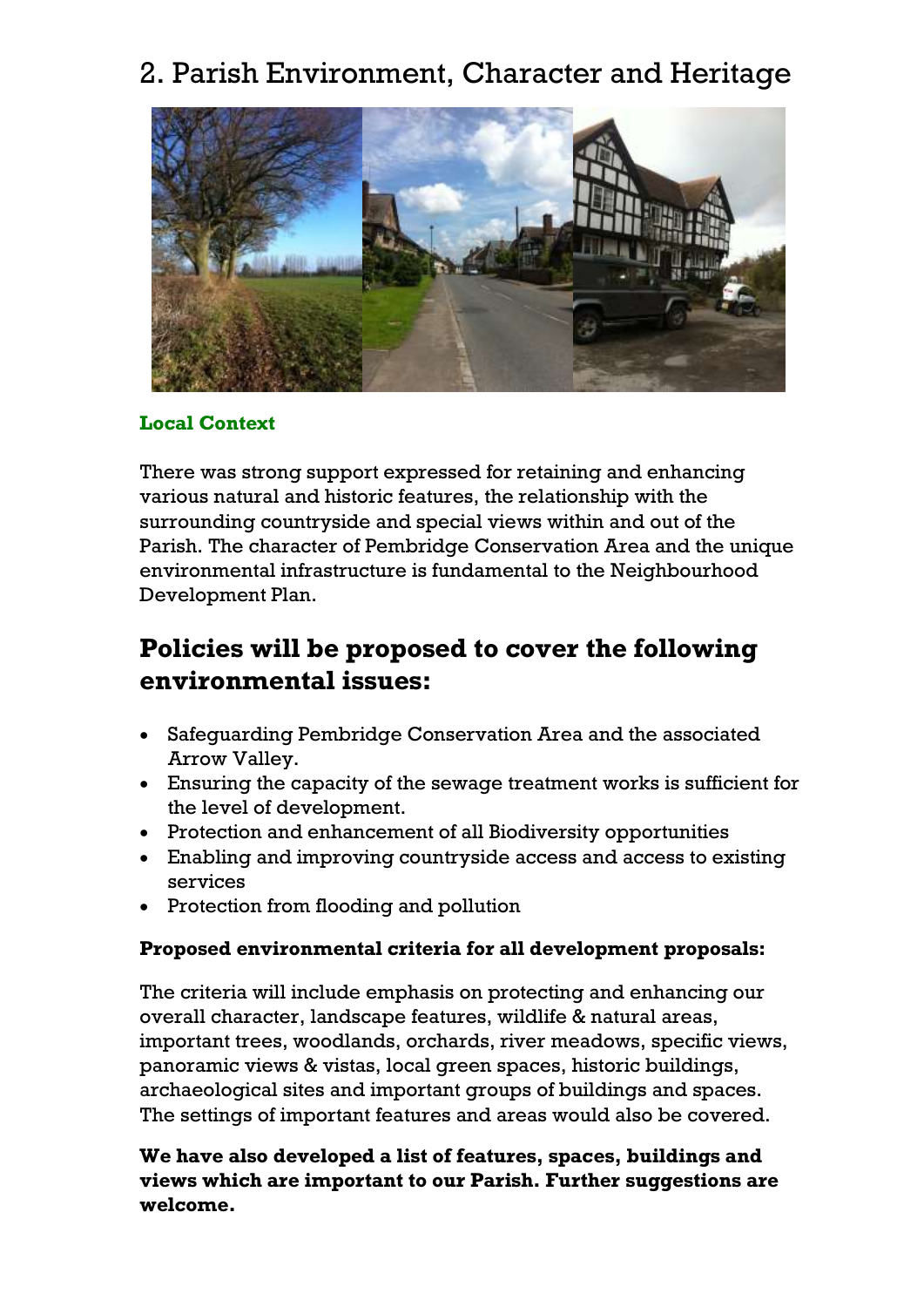## 2. Parish Environment, Character and Heritage



#### **Local Context**

There was strong support expressed for retaining and enhancing various natural and historic features, the relationship with the surrounding countryside and special views within and out of the Parish. The character of Pembridge Conservation Area and the unique environmental infrastructure is fundamental to the Neighbourhood Development Plan.

### **Policies will be proposed to cover the following environmental issues:**

- Safeguarding Pembridge Conservation Area and the associated Arrow Valley.
- Ensuring the capacity of the sewage treatment works is sufficient for the level of development.
- Protection and enhancement of all Biodiversity opportunities
- Enabling and improving countryside access and access to existing services
- Protection from flooding and pollution

#### **Proposed environmental criteria for all development proposals:**

The criteria will include emphasis on protecting and enhancing our overall character, landscape features, wildlife & natural areas, important trees, woodlands, orchards, river meadows, specific views, panoramic views & vistas, local green spaces, historic buildings, archaeological sites and important groups of buildings and spaces. The settings of important features and areas would also be covered.

**We have also developed a list of features, spaces, buildings and views which are important to our Parish. Further suggestions are welcome.**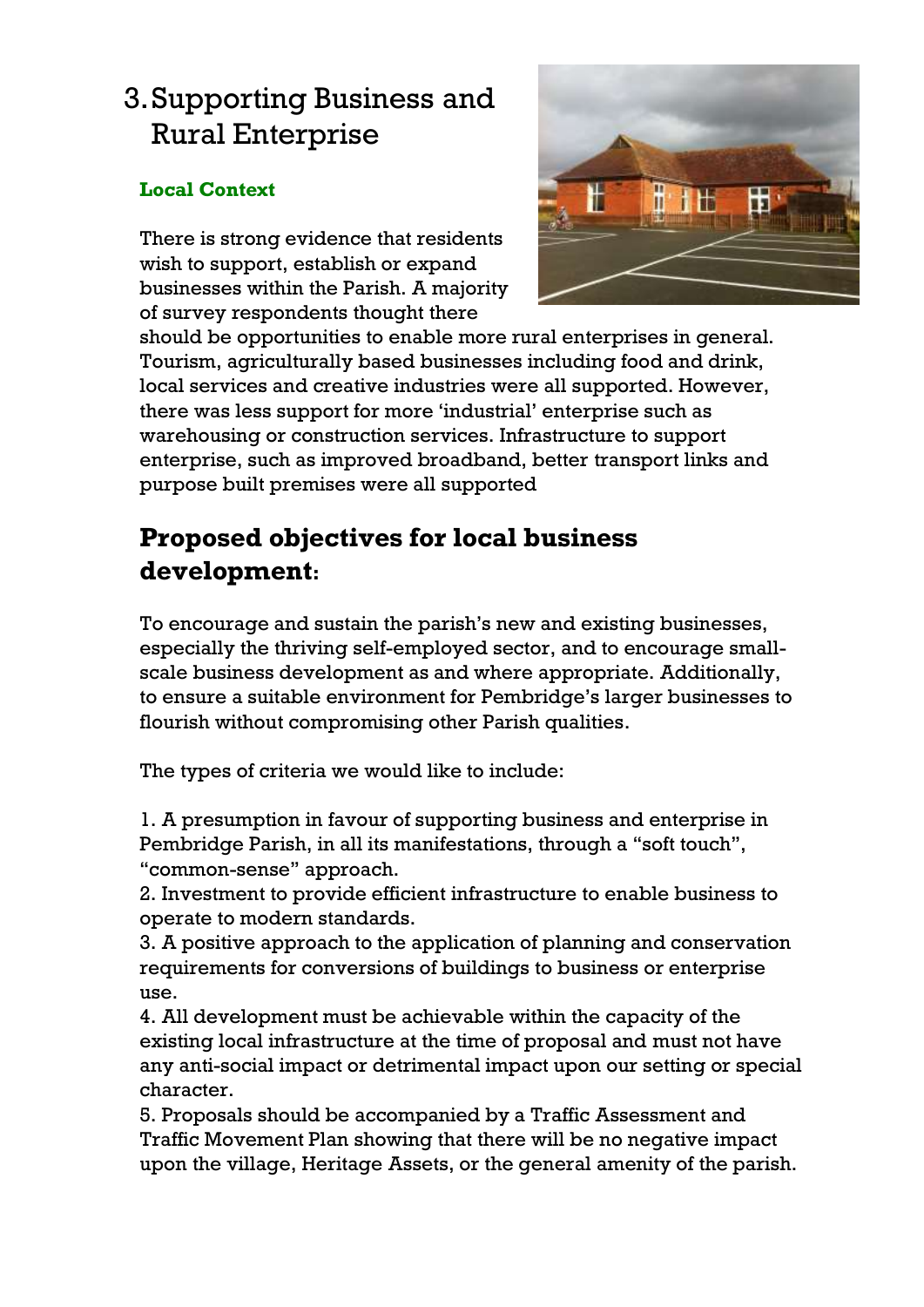## 3.Supporting Business and Rural Enterprise

#### **Local Context**

There is strong evidence that residents wish to support, establish or expand businesses within the Parish. A majority of survey respondents thought there



should be opportunities to enable more rural enterprises in general. Tourism, agriculturally based businesses including food and drink, local services and creative industries were all supported. However, there was less support for more 'industrial' enterprise such as warehousing or construction services. Infrastructure to support enterprise, such as improved broadband, better transport links and purpose built premises were all supported

## **Proposed objectives for local business development:**

To encourage and sustain the parish's new and existing businesses, especially the thriving self-employed sector, and to encourage smallscale business development as and where appropriate. Additionally, to ensure a suitable environment for Pembridge's larger businesses to flourish without compromising other Parish qualities.

The types of criteria we would like to include:

1. A presumption in favour of supporting business and enterprise in Pembridge Parish, in all its manifestations, through a "soft touch", "common-sense" approach.

2. Investment to provide efficient infrastructure to enable business to operate to modern standards.

3. A positive approach to the application of planning and conservation requirements for conversions of buildings to business or enterprise use.

4. All development must be achievable within the capacity of the existing local infrastructure at the time of proposal and must not have any anti-social impact or detrimental impact upon our setting or special character.

5. Proposals should be accompanied by a Traffic Assessment and Traffic Movement Plan showing that there will be no negative impact upon the village, Heritage Assets, or the general amenity of the parish.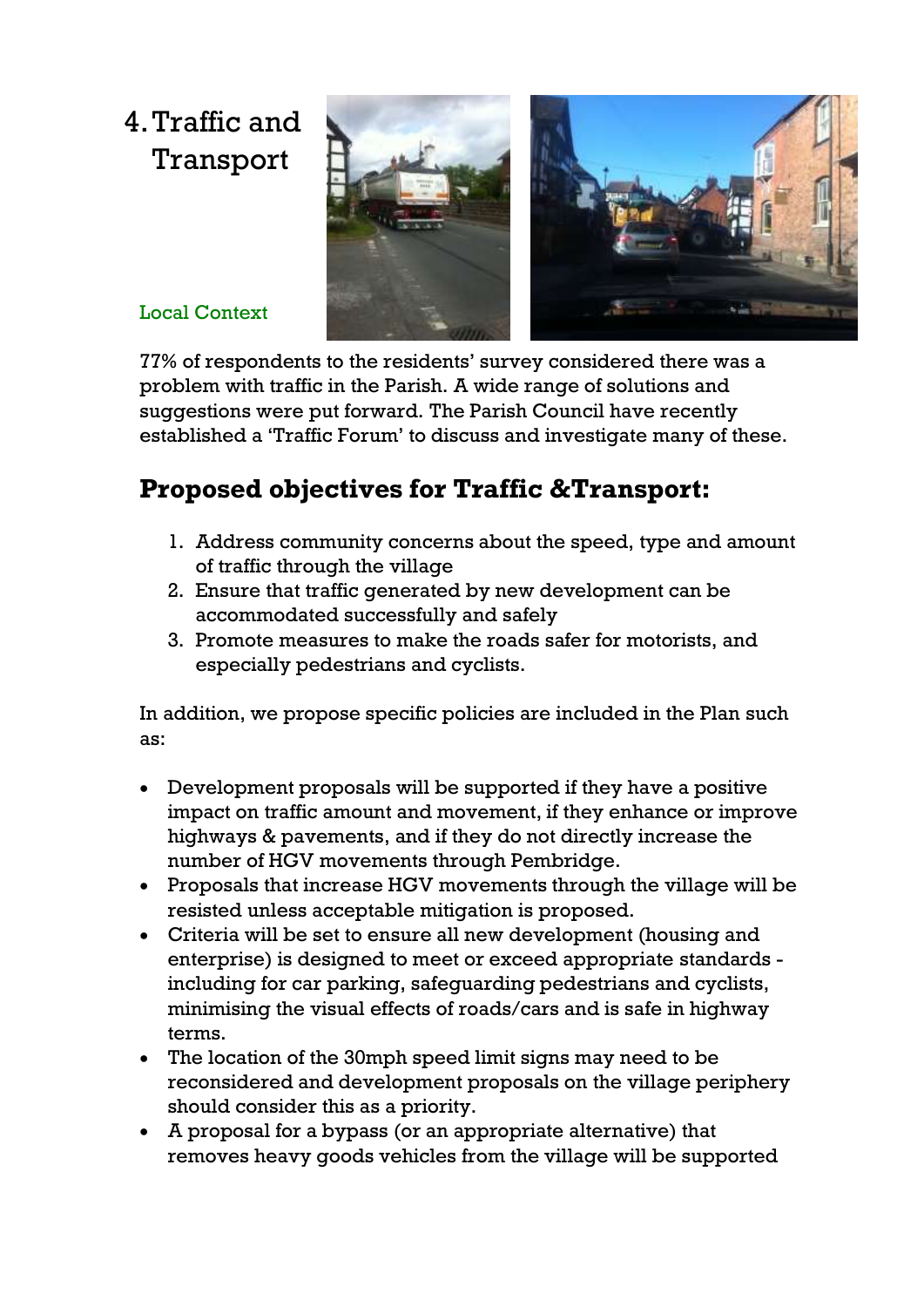## 4.Traffic and Transport



#### Local Context

77% of respondents to the residents' survey considered there was a problem with traffic in the Parish. A wide range of solutions and suggestions were put forward. The Parish Council have recently established a 'Traffic Forum' to discuss and investigate many of these.

## **Proposed objectives for Traffic &Transport:**

- 1. Address community concerns about the speed, type and amount of traffic through the village
- 2. Ensure that traffic generated by new development can be accommodated successfully and safely
- 3. Promote measures to make the roads safer for motorists, and especially pedestrians and cyclists.

In addition, we propose specific policies are included in the Plan such as:

- Development proposals will be supported if they have a positive impact on traffic amount and movement, if they enhance or improve highways & pavements, and if they do not directly increase the number of HGV movements through Pembridge.
- Proposals that increase HGV movements through the village will be resisted unless acceptable mitigation is proposed.
- Criteria will be set to ensure all new development (housing and enterprise) is designed to meet or exceed appropriate standards including for car parking, safeguarding pedestrians and cyclists, minimising the visual effects of roads/cars and is safe in highway terms.
- The location of the 30mph speed limit signs may need to be reconsidered and development proposals on the village periphery should consider this as a priority.
- A proposal for a bypass (or an appropriate alternative) that removes heavy goods vehicles from the village will be supported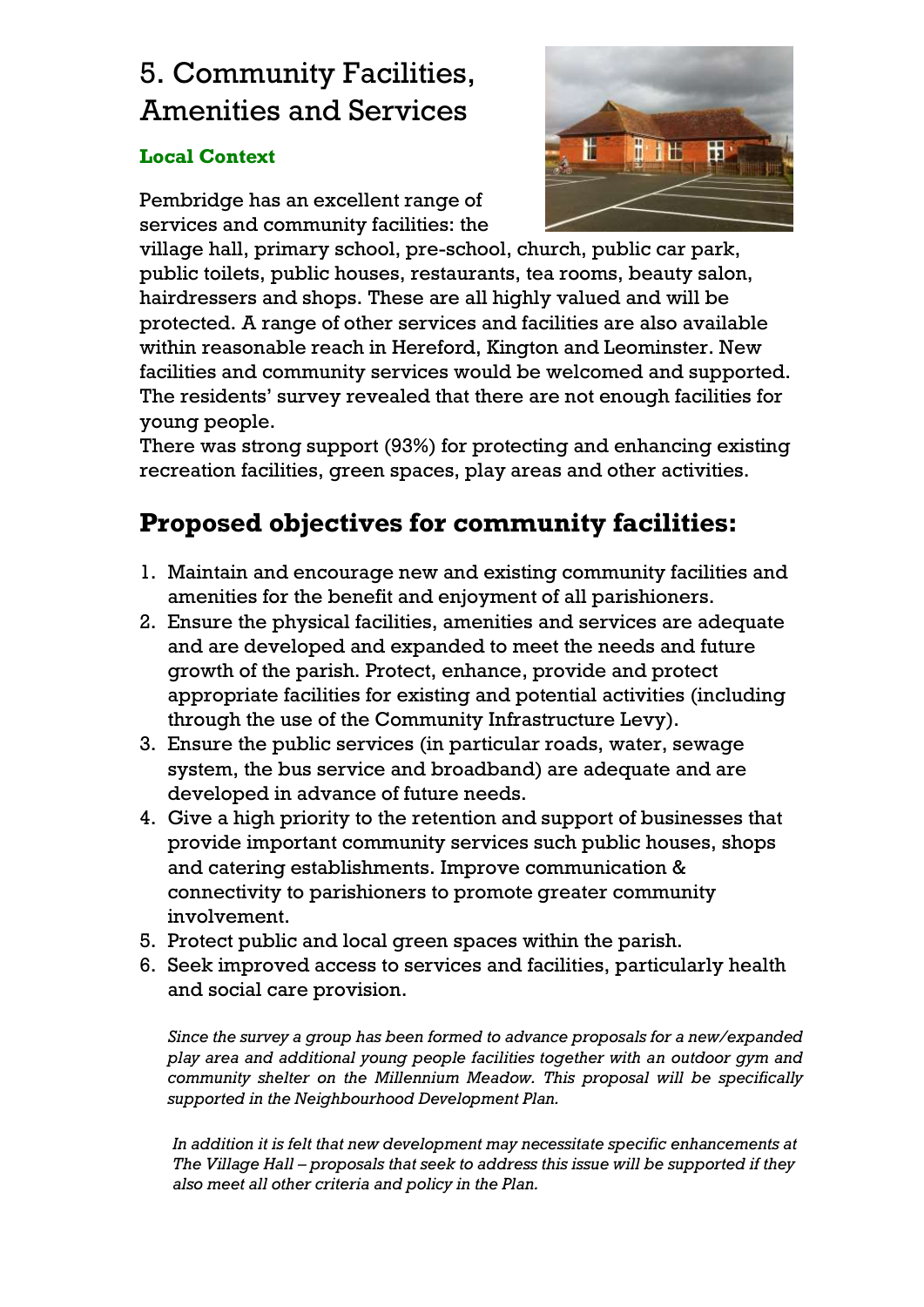## 5. Community Facilities, Amenities and Services

#### **Local Context**

Pembridge has an excellent range of services and community facilities: the



village hall, primary school, pre-school, church, public car park, public toilets, public houses, restaurants, tea rooms, beauty salon, hairdressers and shops. These are all highly valued and will be protected. A range of other services and facilities are also available within reasonable reach in Hereford, Kington and Leominster. New facilities and community services would be welcomed and supported. The residents' survey revealed that there are not enough facilities for young people.

There was strong support (93%) for protecting and enhancing existing recreation facilities, green spaces, play areas and other activities.

## **Proposed objectives for community facilities:**

- 1. Maintain and encourage new and existing community facilities and amenities for the benefit and enjoyment of all parishioners.
- 2. Ensure the physical facilities, amenities and services are adequate and are developed and expanded to meet the needs and future growth of the parish. Protect, enhance, provide and protect appropriate facilities for existing and potential activities (including through the use of the Community Infrastructure Levy).
- 3. Ensure the public services (in particular roads, water, sewage system, the bus service and broadband) are adequate and are developed in advance of future needs.
- 4. Give a high priority to the retention and support of businesses that provide important community services such public houses, shops and catering establishments. Improve communication & connectivity to parishioners to promote greater community involvement.
- 5. Protect public and local green spaces within the parish.
- 6. Seek improved access to services and facilities, particularly health and social care provision.

*Since the survey a group has been formed to advance proposals for a new/expanded play area and additional young people facilities together with an outdoor gym and community shelter on the Millennium Meadow. This proposal will be specifically supported in the Neighbourhood Development Plan.*

*In addition it is felt that new development may necessitate specific enhancements at The Village Hall – proposals that seek to address this issue will be supported if they also meet all other criteria and policy in the Plan.*